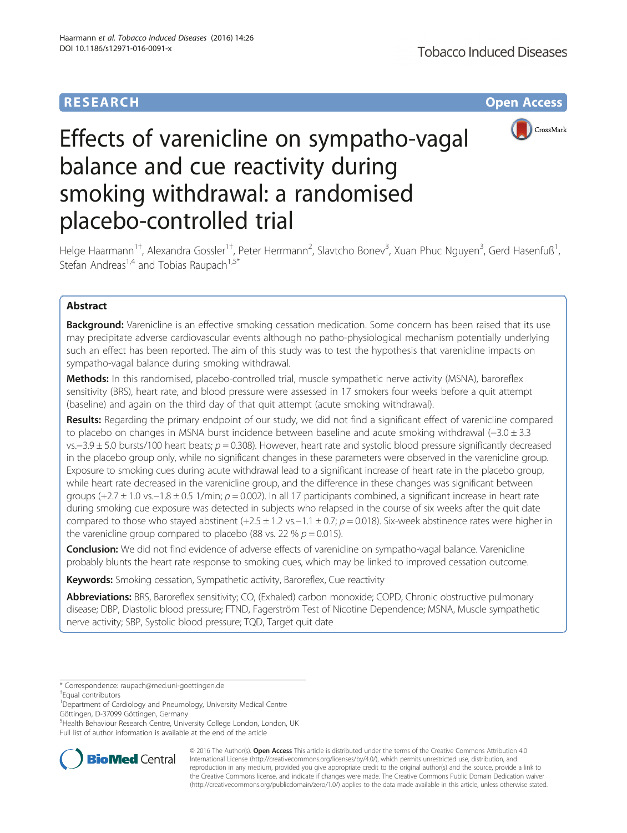## **RESEARCH RESEARCH** *CHECK <b>CHECK*



# Effects of varenicline on sympatho-vagal balance and cue reactivity during smoking withdrawal: a randomised placebo-controlled trial

Helge Haarmann<sup>1†</sup>, Alexandra Gossler<sup>1†</sup>, Peter Herrmann<sup>2</sup>, Slavtcho Bonev<sup>3</sup>, Xuan Phuc Nguyen<sup>3</sup>, Gerd Hasenfuß<sup>1</sup> , Stefan Andreas<sup>1,4</sup> and Tobias Raupach<sup>1,5\*</sup>

## Abstract

Background: Varenicline is an effective smoking cessation medication. Some concern has been raised that its use may precipitate adverse cardiovascular events although no patho-physiological mechanism potentially underlying such an effect has been reported. The aim of this study was to test the hypothesis that varenicline impacts on sympatho-vagal balance during smoking withdrawal.

Methods: In this randomised, placebo-controlled trial, muscle sympathetic nerve activity (MSNA), baroreflex sensitivity (BRS), heart rate, and blood pressure were assessed in 17 smokers four weeks before a quit attempt (baseline) and again on the third day of that quit attempt (acute smoking withdrawal).

Results: Regarding the primary endpoint of our study, we did not find a significant effect of varenicline compared to placebo on changes in MSNA burst incidence between baseline and acute smoking withdrawal (−3.0 ± 3.3 vs.–3.9 ± 5.0 bursts/100 heart beats;  $p = 0.308$ ). However, heart rate and systolic blood pressure significantly decreased in the placebo group only, while no significant changes in these parameters were observed in the varenicline group. Exposure to smoking cues during acute withdrawal lead to a significant increase of heart rate in the placebo group, while heart rate decreased in the varenicline group, and the difference in these changes was significant between groups (+2.7  $\pm$  1.0 vs. $-1.8 \pm 0.5$  1/min; p = 0.002). In all 17 participants combined, a significant increase in heart rate during smoking cue exposure was detected in subjects who relapsed in the course of six weeks after the quit date compared to those who stayed abstinent  $(+2.5 \pm 1.2 \text{ vs.} -1.1 \pm 0.7; p = 0.018)$ . Six-week abstinence rates were higher in the varenicline group compared to placebo (88 vs. 22 %  $p = 0.015$ ).

**Conclusion:** We did not find evidence of adverse effects of varenicline on sympatho-vagal balance. Varenicline probably blunts the heart rate response to smoking cues, which may be linked to improved cessation outcome.

Keywords: Smoking cessation, Sympathetic activity, Baroreflex, Cue reactivity

Abbreviations: BRS, Baroreflex sensitivity; CO, (Exhaled) carbon monoxide; COPD, Chronic obstructive pulmonary disease; DBP, Diastolic blood pressure; FTND, Fagerström Test of Nicotine Dependence; MSNA, Muscle sympathetic nerve activity; SBP, Systolic blood pressure; TQD, Target quit date

<sup>5</sup> Health Behaviour Research Centre, University College London, London, UK Full list of author information is available at the end of the article



© 2016 The Author(s). Open Access This article is distributed under the terms of the Creative Commons Attribution 4.0 International License [\(http://creativecommons.org/licenses/by/4.0/](http://creativecommons.org/licenses/by/4.0/)), which permits unrestricted use, distribution, and reproduction in any medium, provided you give appropriate credit to the original author(s) and the source, provide a link to the Creative Commons license, and indicate if changes were made. The Creative Commons Public Domain Dedication waiver [\(http://creativecommons.org/publicdomain/zero/1.0/](http://creativecommons.org/publicdomain/zero/1.0/)) applies to the data made available in this article, unless otherwise stated.

<sup>\*</sup> Correspondence: [raupach@med.uni-goettingen.de](mailto:raupach@med.uni-goettingen.de) †

Equal contributors

<sup>&</sup>lt;sup>1</sup> Department of Cardiology and Pneumology, University Medical Centre Göttingen, D-37099 Göttingen, Germany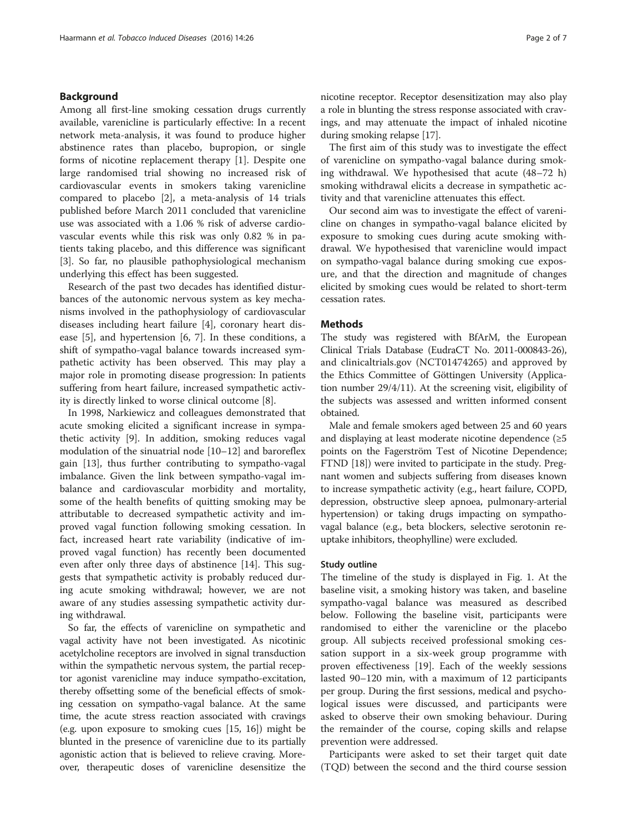#### Background

Among all first-line smoking cessation drugs currently available, varenicline is particularly effective: In a recent network meta-analysis, it was found to produce higher abstinence rates than placebo, bupropion, or single forms of nicotine replacement therapy [\[1](#page-5-0)]. Despite one large randomised trial showing no increased risk of cardiovascular events in smokers taking varenicline compared to placebo [\[2\]](#page-5-0), a meta-analysis of 14 trials published before March 2011 concluded that varenicline use was associated with a 1.06 % risk of adverse cardiovascular events while this risk was only 0.82 % in patients taking placebo, and this difference was significant [[3\]](#page-5-0). So far, no plausible pathophysiological mechanism underlying this effect has been suggested.

Research of the past two decades has identified disturbances of the autonomic nervous system as key mechanisms involved in the pathophysiology of cardiovascular diseases including heart failure [[4\]](#page-5-0), coronary heart disease [[5\]](#page-5-0), and hypertension [\[6, 7\]](#page-5-0). In these conditions, a shift of sympatho-vagal balance towards increased sympathetic activity has been observed. This may play a major role in promoting disease progression: In patients suffering from heart failure, increased sympathetic activity is directly linked to worse clinical outcome [\[8](#page-5-0)].

In 1998, Narkiewicz and colleagues demonstrated that acute smoking elicited a significant increase in sympathetic activity [[9\]](#page-5-0). In addition, smoking reduces vagal modulation of the sinuatrial node [\[10](#page-5-0)–[12\]](#page-5-0) and baroreflex gain [[13\]](#page-5-0), thus further contributing to sympatho-vagal imbalance. Given the link between sympatho-vagal imbalance and cardiovascular morbidity and mortality, some of the health benefits of quitting smoking may be attributable to decreased sympathetic activity and improved vagal function following smoking cessation. In fact, increased heart rate variability (indicative of improved vagal function) has recently been documented even after only three days of abstinence [\[14\]](#page-5-0). This suggests that sympathetic activity is probably reduced during acute smoking withdrawal; however, we are not aware of any studies assessing sympathetic activity during withdrawal.

So far, the effects of varenicline on sympathetic and vagal activity have not been investigated. As nicotinic acetylcholine receptors are involved in signal transduction within the sympathetic nervous system, the partial receptor agonist varenicline may induce sympatho-excitation, thereby offsetting some of the beneficial effects of smoking cessation on sympatho-vagal balance. At the same time, the acute stress reaction associated with cravings (e.g. upon exposure to smoking cues [[15](#page-5-0), [16](#page-5-0)]) might be blunted in the presence of varenicline due to its partially agonistic action that is believed to relieve craving. Moreover, therapeutic doses of varenicline desensitize the nicotine receptor. Receptor desensitization may also play a role in blunting the stress response associated with cravings, and may attenuate the impact of inhaled nicotine during smoking relapse [\[17\]](#page-5-0).

The first aim of this study was to investigate the effect of varenicline on sympatho-vagal balance during smoking withdrawal. We hypothesised that acute (48–72 h) smoking withdrawal elicits a decrease in sympathetic activity and that varenicline attenuates this effect.

Our second aim was to investigate the effect of varenicline on changes in sympatho-vagal balance elicited by exposure to smoking cues during acute smoking withdrawal. We hypothesised that varenicline would impact on sympatho-vagal balance during smoking cue exposure, and that the direction and magnitude of changes elicited by smoking cues would be related to short-term cessation rates.

#### Methods

The study was registered with BfArM, the European Clinical Trials Database (EudraCT No. 2011-000843-26), and [clinicaltrials.gov](http://clinicaltrials.gov) (NCT01474265) and approved by the Ethics Committee of Göttingen University (Application number 29/4/11). At the screening visit, eligibility of the subjects was assessed and written informed consent obtained.

Male and female smokers aged between 25 and 60 years and displaying at least moderate nicotine dependence (≥5 points on the Fagerström Test of Nicotine Dependence; FTND [[18](#page-5-0)]) were invited to participate in the study. Pregnant women and subjects suffering from diseases known to increase sympathetic activity (e.g., heart failure, COPD, depression, obstructive sleep apnoea, pulmonary-arterial hypertension) or taking drugs impacting on sympathovagal balance (e.g., beta blockers, selective serotonin reuptake inhibitors, theophylline) were excluded.

#### Study outline

The timeline of the study is displayed in Fig. [1](#page-2-0). At the baseline visit, a smoking history was taken, and baseline sympatho-vagal balance was measured as described below. Following the baseline visit, participants were randomised to either the varenicline or the placebo group. All subjects received professional smoking cessation support in a six-week group programme with proven effectiveness [\[19](#page-5-0)]. Each of the weekly sessions lasted 90–120 min, with a maximum of 12 participants per group. During the first sessions, medical and psychological issues were discussed, and participants were asked to observe their own smoking behaviour. During the remainder of the course, coping skills and relapse prevention were addressed.

Participants were asked to set their target quit date (TQD) between the second and the third course session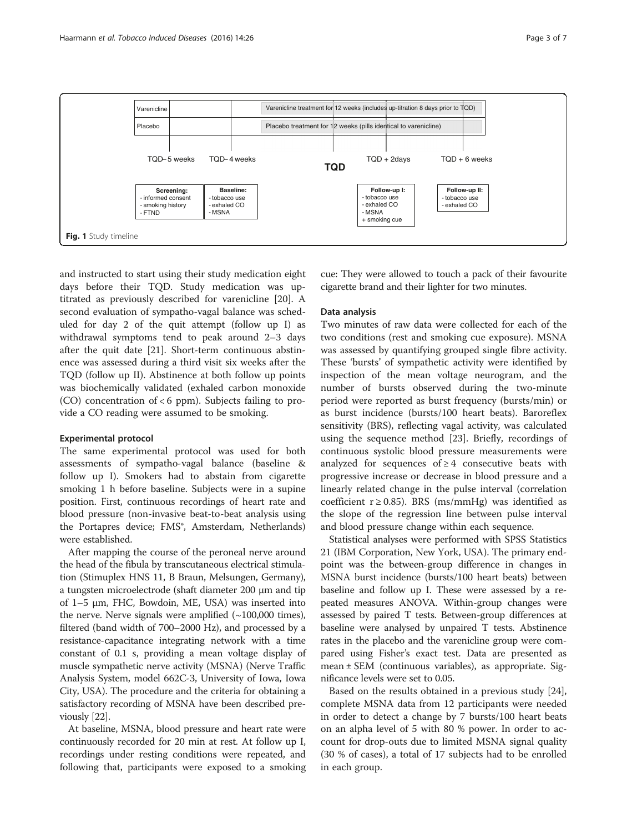<span id="page-2-0"></span>

and instructed to start using their study medication eight days before their TQD. Study medication was uptitrated as previously described for varenicline [[20](#page-5-0)]. A second evaluation of sympatho-vagal balance was scheduled for day 2 of the quit attempt (follow up I) as withdrawal symptoms tend to peak around 2–3 days after the quit date [[21\]](#page-5-0). Short-term continuous abstinence was assessed during a third visit six weeks after the TQD (follow up II). Abstinence at both follow up points was biochemically validated (exhaled carbon monoxide (CO) concentration of  $< 6$  ppm). Subjects failing to provide a CO reading were assumed to be smoking.

#### Experimental protocol

The same experimental protocol was used for both assessments of sympatho-vagal balance (baseline & follow up I). Smokers had to abstain from cigarette smoking 1 h before baseline. Subjects were in a supine position. First, continuous recordings of heart rate and blood pressure (non-invasive beat-to-beat analysis using the Portapres device; FMS®, Amsterdam, Netherlands) were established.

After mapping the course of the peroneal nerve around the head of the fibula by transcutaneous electrical stimulation (Stimuplex HNS 11, B Braun, Melsungen, Germany), a tungsten microelectrode (shaft diameter 200 μm and tip of 1–5 μm, FHC, Bowdoin, ME, USA) was inserted into the nerve. Nerve signals were amplified  $(\sim 100,000$  times), filtered (band width of 700–2000 Hz), and processed by a resistance-capacitance integrating network with a time constant of 0.1 s, providing a mean voltage display of muscle sympathetic nerve activity (MSNA) (Nerve Traffic Analysis System, model 662C-3, University of Iowa, Iowa City, USA). The procedure and the criteria for obtaining a satisfactory recording of MSNA have been described previously [\[22\]](#page-5-0).

At baseline, MSNA, blood pressure and heart rate were continuously recorded for 20 min at rest. At follow up I, recordings under resting conditions were repeated, and following that, participants were exposed to a smoking

cue: They were allowed to touch a pack of their favourite cigarette brand and their lighter for two minutes.

#### Data analysis

Two minutes of raw data were collected for each of the two conditions (rest and smoking cue exposure). MSNA was assessed by quantifying grouped single fibre activity. These 'bursts' of sympathetic activity were identified by inspection of the mean voltage neurogram, and the number of bursts observed during the two-minute period were reported as burst frequency (bursts/min) or as burst incidence (bursts/100 heart beats). Baroreflex sensitivity (BRS), reflecting vagal activity, was calculated using the sequence method [[23\]](#page-5-0). Briefly, recordings of continuous systolic blood pressure measurements were analyzed for sequences of  $\geq 4$  consecutive beats with progressive increase or decrease in blood pressure and a linearly related change in the pulse interval (correlation coefficient  $r \ge 0.85$ ). BRS (ms/mmHg) was identified as the slope of the regression line between pulse interval and blood pressure change within each sequence.

Statistical analyses were performed with SPSS Statistics 21 (IBM Corporation, New York, USA). The primary endpoint was the between-group difference in changes in MSNA burst incidence (bursts/100 heart beats) between baseline and follow up I. These were assessed by a repeated measures ANOVA. Within-group changes were assessed by paired T tests. Between-group differences at baseline were analysed by unpaired T tests. Abstinence rates in the placebo and the varenicline group were compared using Fisher's exact test. Data are presented as mean ± SEM (continuous variables), as appropriate. Significance levels were set to 0.05.

Based on the results obtained in a previous study [\[24](#page-5-0)], complete MSNA data from 12 participants were needed in order to detect a change by 7 bursts/100 heart beats on an alpha level of 5 with 80 % power. In order to account for drop-outs due to limited MSNA signal quality (30 % of cases), a total of 17 subjects had to be enrolled in each group.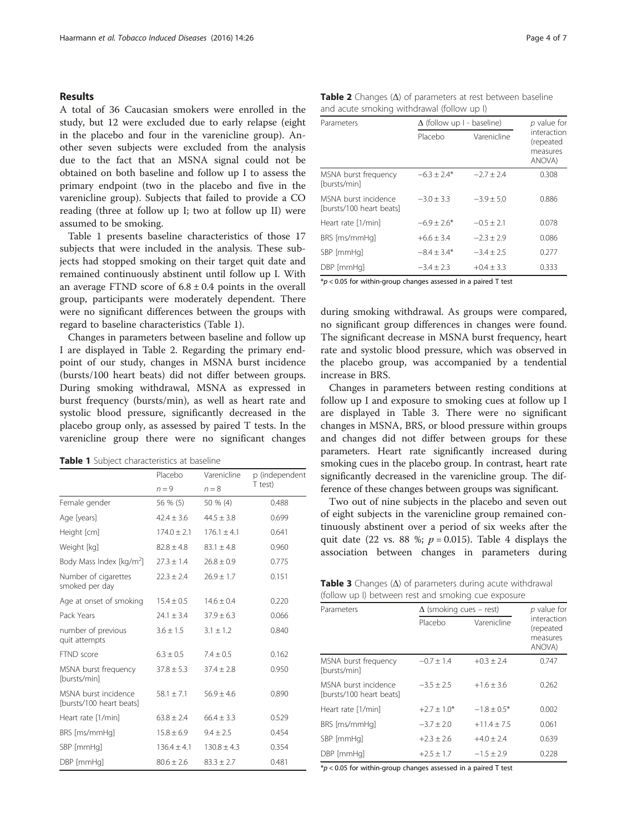#### <span id="page-3-0"></span>Results

A total of 36 Caucasian smokers were enrolled in the study, but 12 were excluded due to early relapse (eight in the placebo and four in the varenicline group). Another seven subjects were excluded from the analysis due to the fact that an MSNA signal could not be obtained on both baseline and follow up I to assess the primary endpoint (two in the placebo and five in the varenicline group). Subjects that failed to provide a CO reading (three at follow up I; two at follow up II) were assumed to be smoking.

Table 1 presents baseline characteristics of those 17 subjects that were included in the analysis. These subjects had stopped smoking on their target quit date and remained continuously abstinent until follow up I. With an average FTND score of  $6.8 \pm 0.4$  points in the overall group, participants were moderately dependent. There were no significant differences between the groups with regard to baseline characteristics (Table 1).

Changes in parameters between baseline and follow up I are displayed in Table 2. Regarding the primary endpoint of our study, changes in MSNA burst incidence (bursts/100 heart beats) did not differ between groups. During smoking withdrawal, MSNA as expressed in burst frequency (bursts/min), as well as heart rate and systolic blood pressure, significantly decreased in the placebo group only, as assessed by paired T tests. In the varenicline group there were no significant changes

| Table 1 Subject characteristics at baseline |  |
|---------------------------------------------|--|
|---------------------------------------------|--|

|                                                  | Placebo         | Varenicline     | p (independent |
|--------------------------------------------------|-----------------|-----------------|----------------|
|                                                  | $n = 9$         | $n = 8$         | T test)        |
| Female gender                                    | 56 % (5)        | 50 % (4)        | 0.488          |
| Age [years]                                      | $42.4 \pm 3.6$  | $44.5 \pm 3.8$  | 0.699          |
| Height [cm]                                      | $174.0 + 2.1$   | $176.1 + 4.1$   | 0.641          |
| Weight [kg]                                      | $82.8 \pm 4.8$  | $83.1 \pm 4.8$  | 0.960          |
| Body Mass Index [kg/m <sup>2</sup> ]             | $27.3 \pm 1.4$  | $26.8 \pm 0.9$  | 0.775          |
| Number of cigarettes<br>smoked per day           | $22.3 \pm 2.4$  | $26.9 \pm 1.7$  | 0.151          |
| Age at onset of smoking                          | $15.4 \pm 0.5$  | $14.6 + 0.4$    | 0.220          |
| Pack Years                                       | $74.1 + 3.4$    | $37.9 \pm 6.3$  | 0.066          |
| number of previous<br>quit attempts              | $3.6 \pm 1.5$   | $3.1 \pm 1.2$   | 0.840          |
| FTND score                                       | $6.3 \pm 0.5$   | $7.4 \pm 0.5$   | 0.162          |
| MSNA burst frequency<br>[bursts/min]             | $37.8 \pm 5.3$  | $37.4 + 2.8$    | 0.950          |
| MSNA burst incidence<br>[bursts/100 heart beats] | $58.1 + 7.1$    | $56.9 \pm 4.6$  | 0.890          |
| Heart rate [1/min]                               | $63.8 \pm 2.4$  | $66.4 \pm 3.3$  | 0.529          |
| BRS [ms/mmHq]                                    | $15.8 \pm 6.9$  | $9.4 \pm 2.5$   | 0.454          |
| SBP [mmHq]                                       | $136.4 \pm 4.1$ | $130.8 \pm 4.3$ | 0.354          |
| DBP [mmHq]                                       | $80.6 \pm 2.6$  | $83.3 \pm 2.7$  | 0.481          |

| Table 2 Changes $(\Delta)$ of parameters at rest between baseline |  |
|-------------------------------------------------------------------|--|
| and acute smoking withdrawal (follow up I)                        |  |

| Parameters                                       | $\Delta$ (follow up I - baseline) |                | $p$ value for                                  |
|--------------------------------------------------|-----------------------------------|----------------|------------------------------------------------|
|                                                  | Placebo                           | Varenicline    | interaction<br>(repeated<br>measures<br>ANOVA) |
| MSNA burst frequency<br>[bursts/min]             | $-6.3 \pm 2.4*$                   | $-2.7 + 2.4$   | 0.308                                          |
| MSNA burst incidence<br>[bursts/100 heart beats] | $-3.0 + 3.3$                      | $-3.9 + 5.0$   | 0.886                                          |
| Heart rate [1/min]                               | $-6.9 + 2.6*$                     | $-0.5 + 2.1$   | 0.078                                          |
| BRS [ms/mmHq]                                    | $+6.6 + 3.4$                      | $-2.3 + 2.9$   | 0.086                                          |
| SBP [mmHq]                                       | $-8.4 + 3.4*$                     | $-3.4 \pm 2.5$ | 0.277                                          |
| DBP [mmHq]                                       | $-3.4 \pm 2.3$                    | $+0.4 + 3.3$   | 0.333                                          |

 $*p$  < 0.05 for within-group changes assessed in a paired T test

during smoking withdrawal. As groups were compared, no significant group differences in changes were found. The significant decrease in MSNA burst frequency, heart rate and systolic blood pressure, which was observed in the placebo group, was accompanied by a tendential increase in BRS.

Changes in parameters between resting conditions at follow up I and exposure to smoking cues at follow up I are displayed in Table 3. There were no significant changes in MSNA, BRS, or blood pressure within groups and changes did not differ between groups for these parameters. Heart rate significantly increased during smoking cues in the placebo group. In contrast, heart rate significantly decreased in the varenicline group. The difference of these changes between groups was significant.

Two out of nine subjects in the placebo and seven out of eight subjects in the varenicline group remained continuously abstinent over a period of six weeks after the quit date (22 vs. 88 %;  $p = 0.015$ ). Table [4](#page-4-0) displays the association between changes in parameters during

|                                                     |  | <b>Table 3</b> Changes $(\Delta)$ of parameters during acute withdrawal |
|-----------------------------------------------------|--|-------------------------------------------------------------------------|
| (follow up I) between rest and smoking cue exposure |  |                                                                         |

| Parameters                                       | $\Delta$ (smoking cues – rest) | p value for    |                                                |
|--------------------------------------------------|--------------------------------|----------------|------------------------------------------------|
|                                                  | Placebo                        | Varenicline    | interaction<br>(repeated<br>measures<br>ANOVA) |
| MSNA burst frequency<br>[bursts/min]             | $-0.7 \pm 1.4$                 | $+0.3 \pm 2.4$ | 0.747                                          |
| MSNA burst incidence<br>[bursts/100 heart beats] | $-3.5 + 2.5$                   | $+1.6 + 3.6$   | 0.262                                          |
| Heart rate [1/min]                               | $+2.7 + 1.0*$                  | $-1.8 + 0.5*$  | 0.002                                          |
| BRS [ms/mmHq]                                    | $-3.7 \pm 2.0$                 | $+11.4 + 7.5$  | 0.061                                          |
| SBP [mmHq]                                       | $+2.3 + 2.6$                   | $+4.0 + 2.4$   | 0.639                                          |
| DBP [mmHq]                                       | $+2.5 \pm 1.7$                 | $-1.5 + 2.9$   | 0.228                                          |

 $p$  < 0.05 for within-group changes assessed in a paired T test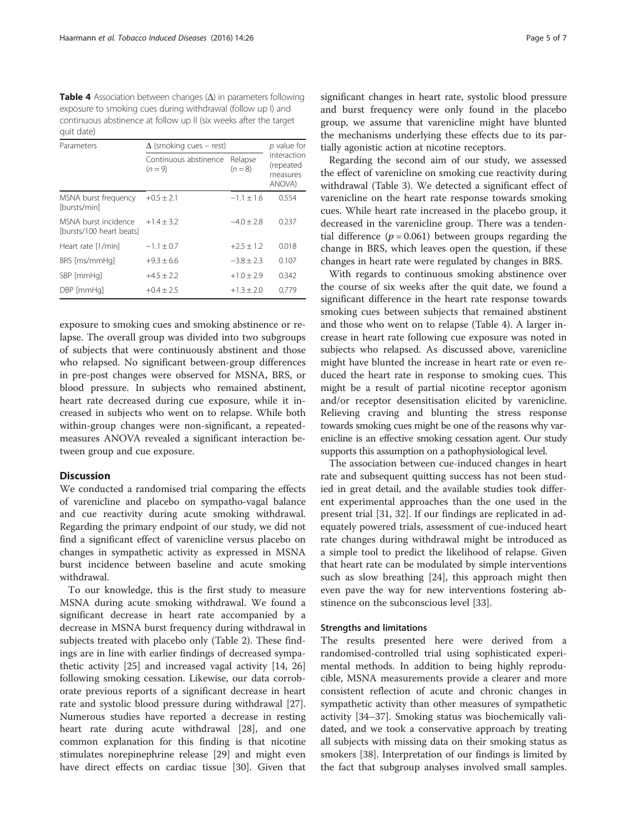<span id="page-4-0"></span>**Table 4** Association between changes  $(\Delta)$  in parameters following exposure to smoking cues during withdrawal (follow up I) and continuous abstinence at follow up II (six weeks after the target quit date)

| Parameters                                       | $\Delta$ (smoking cues – rest)   | $p$ value for        |                                                |
|--------------------------------------------------|----------------------------------|----------------------|------------------------------------------------|
|                                                  | Continuous abstinence<br>$(n=9)$ | Relapse<br>$(n = 8)$ | interaction<br>(repeated<br>measures<br>ANOVA) |
| MSNA burst frequency<br>[bursts/min]             | $+0.5 \pm 2.1$                   | $-1.1 + 1.6$         | 0.554                                          |
| MSNA burst incidence<br>[bursts/100 heart beats] | $+1.4 + 3.2$                     | $-4.0 + 2.8$         | 0.237                                          |
| Heart rate [1/min]                               | $-1.1 \pm 0.7$                   | $+2.5 + 1.2$         | 0.018                                          |
| BRS [ms/mmHq]                                    | $+9.3 + 6.6$                     | $-3.8 + 2.3$         | 0.107                                          |
| SBP [mmHq]                                       | $+4.5 + 2.2$                     | $+1.0 + 2.9$         | 0.342                                          |
| DBP [mmHq]                                       | $+0.4 + 2.5$                     | $+1.3 \pm 2.0$       | 0.779                                          |

exposure to smoking cues and smoking abstinence or relapse. The overall group was divided into two subgroups of subjects that were continuously abstinent and those who relapsed. No significant between-group differences in pre-post changes were observed for MSNA, BRS, or blood pressure. In subjects who remained abstinent, heart rate decreased during cue exposure, while it increased in subjects who went on to relapse. While both within-group changes were non-significant, a repeatedmeasures ANOVA revealed a significant interaction between group and cue exposure.

### **Discussion**

We conducted a randomised trial comparing the effects of varenicline and placebo on sympatho-vagal balance and cue reactivity during acute smoking withdrawal. Regarding the primary endpoint of our study, we did not find a significant effect of varenicline versus placebo on changes in sympathetic activity as expressed in MSNA burst incidence between baseline and acute smoking withdrawal.

To our knowledge, this is the first study to measure MSNA during acute smoking withdrawal. We found a significant decrease in heart rate accompanied by a decrease in MSNA burst frequency during withdrawal in subjects treated with placebo only (Table [2\)](#page-3-0). These findings are in line with earlier findings of decreased sympathetic activity [[25](#page-5-0)] and increased vagal activity [\[14](#page-5-0), [26](#page-5-0)] following smoking cessation. Likewise, our data corroborate previous reports of a significant decrease in heart rate and systolic blood pressure during withdrawal [\[27](#page-5-0)]. Numerous studies have reported a decrease in resting heart rate during acute withdrawal [[28](#page-6-0)], and one common explanation for this finding is that nicotine stimulates norepinephrine release [[29\]](#page-6-0) and might even have direct effects on cardiac tissue [\[30\]](#page-6-0). Given that significant changes in heart rate, systolic blood pressure and burst frequency were only found in the placebo group, we assume that varenicline might have blunted the mechanisms underlying these effects due to its partially agonistic action at nicotine receptors.

Regarding the second aim of our study, we assessed the effect of varenicline on smoking cue reactivity during withdrawal (Table [3\)](#page-3-0). We detected a significant effect of varenicline on the heart rate response towards smoking cues. While heart rate increased in the placebo group, it decreased in the varenicline group. There was a tendential difference ( $p = 0.061$ ) between groups regarding the change in BRS, which leaves open the question, if these changes in heart rate were regulated by changes in BRS.

With regards to continuous smoking abstinence over the course of six weeks after the quit date, we found a significant difference in the heart rate response towards smoking cues between subjects that remained abstinent and those who went on to relapse (Table 4). A larger increase in heart rate following cue exposure was noted in subjects who relapsed. As discussed above, varenicline might have blunted the increase in heart rate or even reduced the heart rate in response to smoking cues. This might be a result of partial nicotine receptor agonism and/or receptor desensitisation elicited by varenicline. Relieving craving and blunting the stress response towards smoking cues might be one of the reasons why varenicline is an effective smoking cessation agent. Our study supports this assumption on a pathophysiological level.

The association between cue-induced changes in heart rate and subsequent quitting success has not been studied in great detail, and the available studies took different experimental approaches than the one used in the present trial [\[31](#page-6-0), [32](#page-6-0)]. If our findings are replicated in adequately powered trials, assessment of cue-induced heart rate changes during withdrawal might be introduced as a simple tool to predict the likelihood of relapse. Given that heart rate can be modulated by simple interventions such as slow breathing [\[24](#page-5-0)], this approach might then even pave the way for new interventions fostering abstinence on the subconscious level [\[33](#page-6-0)].

#### Strengths and limitations

The results presented here were derived from a randomised-controlled trial using sophisticated experimental methods. In addition to being highly reproducible, MSNA measurements provide a clearer and more consistent reflection of acute and chronic changes in sympathetic activity than other measures of sympathetic activity [[34](#page-6-0)–[37](#page-6-0)]. Smoking status was biochemically validated, and we took a conservative approach by treating all subjects with missing data on their smoking status as smokers [[38\]](#page-6-0). Interpretation of our findings is limited by the fact that subgroup analyses involved small samples.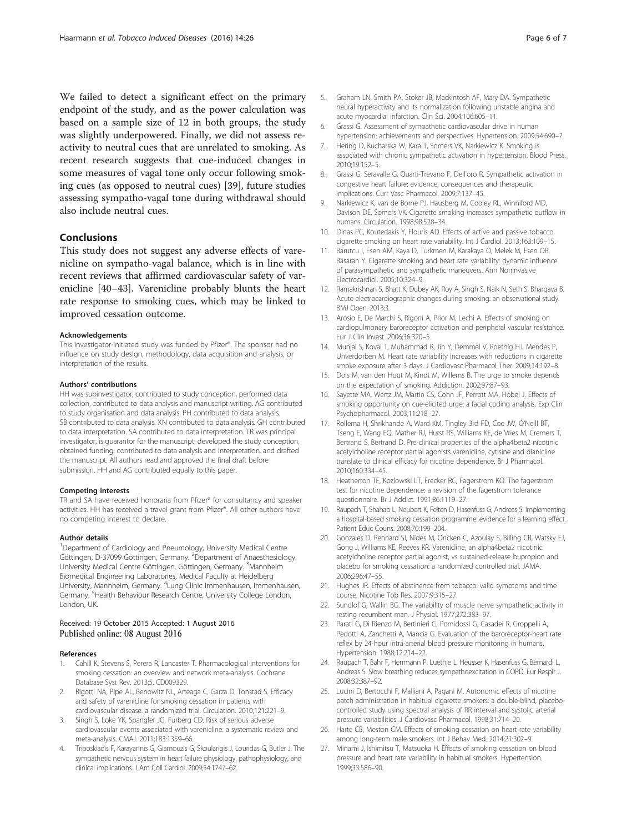<span id="page-5-0"></span>We failed to detect a significant effect on the primary endpoint of the study, and as the power calculation was based on a sample size of 12 in both groups, the study was slightly underpowered. Finally, we did not assess reactivity to neutral cues that are unrelated to smoking. As recent research suggests that cue-induced changes in some measures of vagal tone only occur following smoking cues (as opposed to neutral cues) [\[39\]](#page-6-0), future studies assessing sympatho-vagal tone during withdrawal should also include neutral cues.

#### **Conclusions**

This study does not suggest any adverse effects of varenicline on sympatho-vagal balance, which is in line with recent reviews that affirmed cardiovascular safety of varenicline [\[40](#page-6-0)–[43\]](#page-6-0). Varenicline probably blunts the heart rate response to smoking cues, which may be linked to improved cessation outcome.

#### Acknowledgements

This investigator-initiated study was funded by Pfizer®. The sponsor had no influence on study design, methodology, data acquisition and analysis, or interpretation of the results.

#### Authors' contributions

HH was subinvestigator, contributed to study conception, performed data collection, contributed to data analysis and manuscript writing. AG contributed to study organisation and data analysis. PH contributed to data analysis. SB contributed to data analysis. XN contributed to data analysis. GH contributed to data interpretation. SA contributed to data interpretation. TR was principal investigator, is guarantor for the manuscript, developed the study conception, obtained funding, contributed to data analysis and interpretation, and drafted the manuscript. All authors read and approved the final draft before submission. HH and AG contributed equally to this paper.

#### Competing interests

TR and SA have received honoraria from Pfizer® for consultancy and speaker activities. HH has received a travel grant from Pfizer®. All other authors have no competing interest to declare.

#### Author details

<sup>1</sup>Department of Cardiology and Pneumology, University Medical Centre Göttingen, D-37099 Göttingen, Germany. <sup>2</sup>Department of Anaesthesiology, University Medical Centre Göttingen, Göttingen, Germany. <sup>3</sup>Mannheim Biomedical Engineering Laboratories, Medical Faculty at Heidelberg University, Mannheim, Germany. <sup>4</sup>Lung Clinic Immenhausen, Immenhausen, Germany. <sup>5</sup>Health Behaviour Research Centre, University College London, London, UK.

#### Received: 19 October 2015 Accepted: 1 August 2016 Published online: 08 August 2016

#### References

- 1. Cahill K, Stevens S, Perera R, Lancaster T. Pharmacological interventions for smoking cessation: an overview and network meta-analysis. Cochrane Database Syst Rev. 2013;5, CD009329.
- 2. Rigotti NA, Pipe AL, Benowitz NL, Arteaga C, Garza D, Tonstad S. Efficacy and safety of varenicline for smoking cessation in patients with cardiovascular disease: a randomized trial. Circulation. 2010;121:221–9.
- 3. Singh S, Loke YK, Spangler JG, Furberg CD. Risk of serious adverse cardiovascular events associated with varenicline: a systematic review and meta-analysis. CMAJ. 2011;183:1359–66.
- 4. Triposkiadis F, Karayannis G, Giamouzis G, Skoularigis J, Louridas G, Butler J. The sympathetic nervous system in heart failure physiology, pathophysiology, and clinical implications. J Am Coll Cardiol. 2009;54:1747–62.
- 5. Graham LN, Smith PA, Stoker JB, Mackintosh AF, Mary DA. Sympathetic neural hyperactivity and its normalization following unstable angina and acute myocardial infarction. Clin Sci. 2004;106:605–11.
- 6. Grassi G. Assessment of sympathetic cardiovascular drive in human hypertension: achievements and perspectives. Hypertension. 2009;54:690–7.
- 7. Hering D, Kucharska W, Kara T, Somers VK, Narkiewicz K. Smoking is associated with chronic sympathetic activation in hypertension. Blood Press. 2010;19:152–5.
- 8. Grassi G, Seravalle G, Quarti-Trevano F, Dell'oro R. Sympathetic activation in congestive heart failure: evidence, consequences and therapeutic implications. Curr Vasc Pharmacol. 2009;7:137–45.
- 9. Narkiewicz K, van de Borne PJ, Hausberg M, Cooley RL, Winniford MD, Davison DE, Somers VK. Cigarette smoking increases sympathetic outflow in humans. Circulation. 1998;98:528–34.
- 10. Dinas PC, Koutedakis Y, Flouris AD. Effects of active and passive tobacco cigarette smoking on heart rate variability. Int J Cardiol. 2013;163:109–15.
- 11. Barutcu I, Esen AM, Kaya D, Turkmen M, Karakaya O, Melek M, Esen OB, Basaran Y. Cigarette smoking and heart rate variability: dynamic influence of parasympathetic and sympathetic maneuvers. Ann Noninvasive Electrocardiol. 2005;10:324–9.
- 12. Ramakrishnan S, Bhatt K, Dubey AK, Roy A, Singh S, Naik N, Seth S, Bhargava B. Acute electrocardiographic changes during smoking: an observational study. BMJ Open. 2013;3.
- 13. Arosio E, De Marchi S, Rigoni A, Prior M, Lechi A. Effects of smoking on cardiopulmonary baroreceptor activation and peripheral vascular resistance. Eur J Clin Invest. 2006;36:320–5.
- 14. Munjal S, Koval T, Muhammad R, Jin Y, Demmel V, Roethig HJ, Mendes P, Unverdorben M. Heart rate variability increases with reductions in cigarette smoke exposure after 3 days. J Cardiovasc Pharmacol Ther. 2009;14:192–8.
- 15. Dols M, van den Hout M, Kindt M, Willems B. The urge to smoke depends on the expectation of smoking. Addiction. 2002;97:87–93.
- 16. Sayette MA, Wertz JM, Martin CS, Cohn JF, Perrott MA, Hobel J. Effects of smoking opportunity on cue-elicited urge: a facial coding analysis. Exp Clin Psychopharmacol. 2003;11:218–27.
- 17. Rollema H, Shrikhande A, Ward KM, Tingley 3rd FD, Coe JW, O'Neill BT, Tseng E, Wang EQ, Mather RJ, Hurst RS, Williams KE, de Vries M, Cremers T, Bertrand S, Bertrand D. Pre-clinical properties of the alpha4beta2 nicotinic acetylcholine receptor partial agonists varenicline, cytisine and dianicline translate to clinical efficacy for nicotine dependence. Br J Pharmacol. 2010;160:334–45.
- 18. Heatherton TF, Kozlowski LT, Frecker RC, Fagerstrom KO. The fagerstrom test for nicotine dependence: a revision of the fagerstrom tolerance questionnaire. Br J Addict. 1991;86:1119–27.
- 19. Raupach T, Shahab L, Neubert K, Felten D, Hasenfuss G, Andreas S. Implementing a hospital-based smoking cessation programme: evidence for a learning effect. Patient Educ Couns. 2008;70:199–204.
- 20. Gonzales D, Rennard SI, Nides M, Oncken C, Azoulay S, Billing CB, Watsky EJ, Gong J, Williams KE, Reeves KR. Varenicline, an alpha4beta2 nicotinic acetylcholine receptor partial agonist, vs sustained-release bupropion and placebo for smoking cessation: a randomized controlled trial. JAMA. 2006;296:47–55.
- 21. Hughes JR. Effects of abstinence from tobacco: valid symptoms and time course. Nicotine Tob Res. 2007;9:315–27.
- 22. Sundlof G, Wallin BG. The variability of muscle nerve sympathetic activity in resting recumbent man. J Physiol. 1977;272:383–97.
- 23. Parati G, Di Rienzo M, Bertinieri G, Pomidossi G, Casadei R, Groppelli A, Pedotti A, Zanchetti A, Mancia G. Evaluation of the baroreceptor-heart rate reflex by 24-hour intra-arterial blood pressure monitoring in humans. Hypertension. 1988;12:214–22.
- 24. Raupach T, Bahr F, Herrmann P, Luethje L, Heusser K, Hasenfuss G, Bernardi L, Andreas S. Slow breathing reduces sympathoexcitation in COPD. Eur Respir J. 2008;32:387–92.
- 25. Lucini D, Bertocchi F, Malliani A, Pagani M. Autonomic effects of nicotine patch administration in habitual cigarette smokers: a double-blind, placebocontrolled study using spectral analysis of RR interval and systolic arterial pressure variabilities. J Cardiovasc Pharmacol. 1998;31:714–20.
- 26. Harte CB, Meston CM. Effects of smoking cessation on heart rate variability among long-term male smokers. Int J Behav Med. 2014;21:302–9.
- 27. Minami J, Ishimitsu T, Matsuoka H. Effects of smoking cessation on blood pressure and heart rate variability in habitual smokers. Hypertension. 1999;33:586–90.